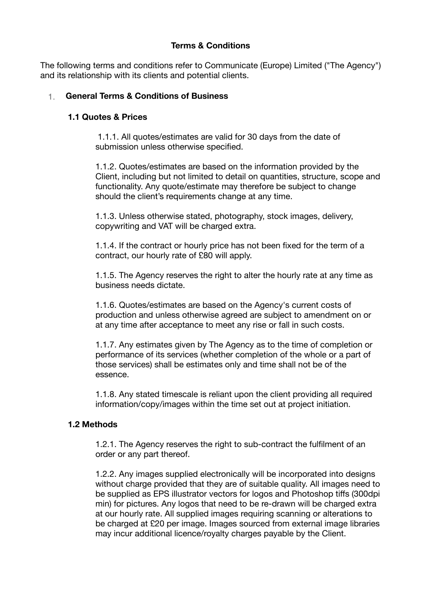# **Terms & Conditions**

The following terms and conditions refer to Communicate (Europe) Limited ("The Agency") and its relationship with its clients and potential clients.

# 1. **General Terms & Conditions of Business**

## **1.1 Quotes & Prices**

 1.1.1. All quotes/estimates are valid for 30 days from the date of submission unless otherwise specified.

1.1.2. Quotes/estimates are based on the information provided by the Client, including but not limited to detail on quantities, structure, scope and functionality. Any quote/estimate may therefore be subject to change should the client's requirements change at any time.

1.1.3. Unless otherwise stated, photography, stock images, delivery, copywriting and VAT will be charged extra.

1.1.4. If the contract or hourly price has not been fixed for the term of a contract, our hourly rate of £80 will apply.

1.1.5. The Agency reserves the right to alter the hourly rate at any time as business needs dictate.

1.1.6. Quotes/estimates are based on the Agency's current costs of production and unless otherwise agreed are subject to amendment on or at any time after acceptance to meet any rise or fall in such costs.

1.1.7. Any estimates given by The Agency as to the time of completion or performance of its services (whether completion of the whole or a part of those services) shall be estimates only and time shall not be of the essence.

1.1.8. Any stated timescale is reliant upon the client providing all required information/copy/images within the time set out at project initiation.

# **1.2 Methods**

1.2.1. The Agency reserves the right to sub-contract the fulfilment of an order or any part thereof.

1.2.2. Any images supplied electronically will be incorporated into designs without charge provided that they are of suitable quality. All images need to be supplied as EPS illustrator vectors for logos and Photoshop tiffs (300dpi min) for pictures. Any logos that need to be re-drawn will be charged extra at our hourly rate. All supplied images requiring scanning or alterations to be charged at £20 per image. Images sourced from external image libraries may incur additional licence/royalty charges payable by the Client.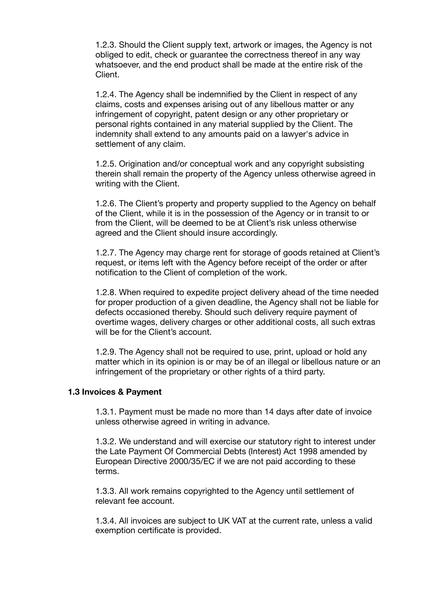1.2.3. Should the Client supply text, artwork or images, the Agency is not obliged to edit, check or guarantee the correctness thereof in any way whatsoever, and the end product shall be made at the entire risk of the Client.

1.2.4. The Agency shall be indemnified by the Client in respect of any claims, costs and expenses arising out of any libellous matter or any infringement of copyright, patent design or any other proprietary or personal rights contained in any material supplied by the Client. The indemnity shall extend to any amounts paid on a lawyer's advice in settlement of any claim.

1.2.5. Origination and/or conceptual work and any copyright subsisting therein shall remain the property of the Agency unless otherwise agreed in writing with the Client.

1.2.6. The Client's property and property supplied to the Agency on behalf of the Client, while it is in the possession of the Agency or in transit to or from the Client, will be deemed to be at Client's risk unless otherwise agreed and the Client should insure accordingly.

1.2.7. The Agency may charge rent for storage of goods retained at Client's request, or items left with the Agency before receipt of the order or after notification to the Client of completion of the work.

1.2.8. When required to expedite project delivery ahead of the time needed for proper production of a given deadline, the Agency shall not be liable for defects occasioned thereby. Should such delivery require payment of overtime wages, delivery charges or other additional costs, all such extras will be for the Client's account.

1.2.9. The Agency shall not be required to use, print, upload or hold any matter which in its opinion is or may be of an illegal or libellous nature or an infringement of the proprietary or other rights of a third party.

#### **1.3 Invoices & Payment**

1.3.1. Payment must be made no more than 14 days after date of invoice unless otherwise agreed in writing in advance.

1.3.2. We understand and will exercise our statutory right to interest under the Late Payment Of Commercial Debts (Interest) Act 1998 amended by European Directive 2000/35/EC if we are not paid according to these terms.

1.3.3. All work remains copyrighted to the Agency until settlement of relevant fee account.

1.3.4. All invoices are subject to UK VAT at the current rate, unless a valid exemption certificate is provided.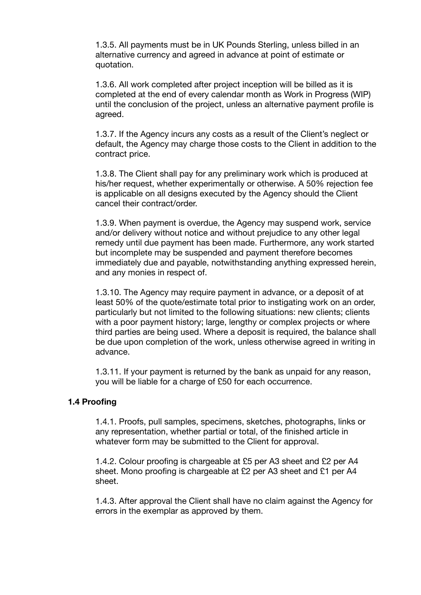1.3.5. All payments must be in UK Pounds Sterling, unless billed in an alternative currency and agreed in advance at point of estimate or quotation.

1.3.6. All work completed after project inception will be billed as it is completed at the end of every calendar month as Work in Progress (WIP) until the conclusion of the project, unless an alternative payment profile is agreed.

1.3.7. If the Agency incurs any costs as a result of the Client's neglect or default, the Agency may charge those costs to the Client in addition to the contract price.

1.3.8. The Client shall pay for any preliminary work which is produced at his/her request, whether experimentally or otherwise. A 50% rejection fee is applicable on all designs executed by the Agency should the Client cancel their contract/order.

1.3.9. When payment is overdue, the Agency may suspend work, service and/or delivery without notice and without prejudice to any other legal remedy until due payment has been made. Furthermore, any work started but incomplete may be suspended and payment therefore becomes immediately due and payable, notwithstanding anything expressed herein, and any monies in respect of.

1.3.10. The Agency may require payment in advance, or a deposit of at least 50% of the quote/estimate total prior to instigating work on an order, particularly but not limited to the following situations: new clients; clients with a poor payment history; large, lengthy or complex projects or where third parties are being used. Where a deposit is required, the balance shall be due upon completion of the work, unless otherwise agreed in writing in advance.

1.3.11. If your payment is returned by the bank as unpaid for any reason, you will be liable for a charge of £50 for each occurrence.

#### **1.4 Proofing**

1.4.1. Proofs, pull samples, specimens, sketches, photographs, links or any representation, whether partial or total, of the finished article in whatever form may be submitted to the Client for approval.

1.4.2. Colour proofing is chargeable at £5 per A3 sheet and £2 per A4 sheet. Mono proofing is chargeable at £2 per A3 sheet and £1 per A4 sheet.

1.4.3. After approval the Client shall have no claim against the Agency for errors in the exemplar as approved by them.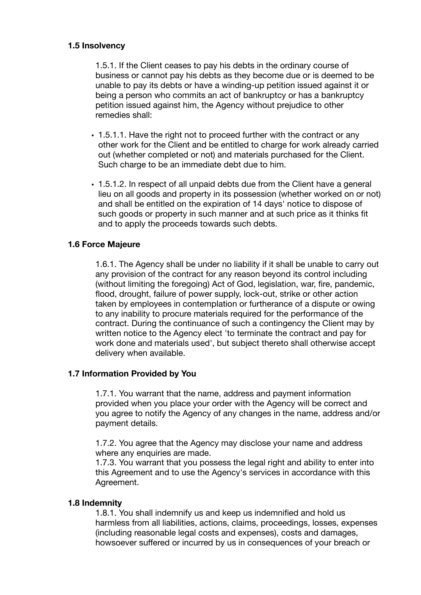## **1.5 Insolvency**

1.5.1. If the Client ceases to pay his debts in the ordinary course of business or cannot pay his debts as they become due or is deemed to be unable to pay its debts or have a winding-up petition issued against it or being a person who commits an act of bankruptcy or has a bankruptcy petition issued against him, the Agency without prejudice to other remedies shall:

- 1.5.1.1. Have the right not to proceed further with the contract or any other work for the Client and be entitled to charge for work already carried out (whether completed or not) and materials purchased for the Client. Such charge to be an immediate debt due to him.
- 1.5.1.2. In respect of all unpaid debts due from the Client have a general lieu on all goods and property in its possession (whether worked on or not) and shall be entitled on the expiration of 14 days' notice to dispose of such goods or property in such manner and at such price as it thinks fit and to apply the proceeds towards such debts.

## **1.6 Force Majeure**

1.6.1. The Agency shall be under no liability if it shall be unable to carry out any provision of the contract for any reason beyond its control including (without limiting the foregoing) Act of God, legislation, war, fire, pandemic, flood, drought, failure of power supply, lock-out, strike or other action taken by employees in contemplation or furtherance of a dispute or owing to any inability to procure materials required for the performance of the contract. During the continuance of such a contingency the Client may by written notice to the Agency elect 'to terminate the contract and pay for work done and materials used', but subject thereto shall otherwise accept delivery when available.

## **1.7 Information Provided by You**

1.7.1. You warrant that the name, address and payment information provided when you place your order with the Agency will be correct and you agree to notify the Agency of any changes in the name, address and/or payment details.

1.7.2. You agree that the Agency may disclose your name and address where any enquiries are made.

1.7.3. You warrant that you possess the legal right and ability to enter into this Agreement and to use the Agency's services in accordance with this Agreement.

## **1.8 Indemnity**

1.8.1. You shall indemnify us and keep us indemnified and hold us harmless from all liabilities, actions, claims, proceedings, losses, expenses (including reasonable legal costs and expenses), costs and damages, howsoever suffered or incurred by us in consequences of your breach or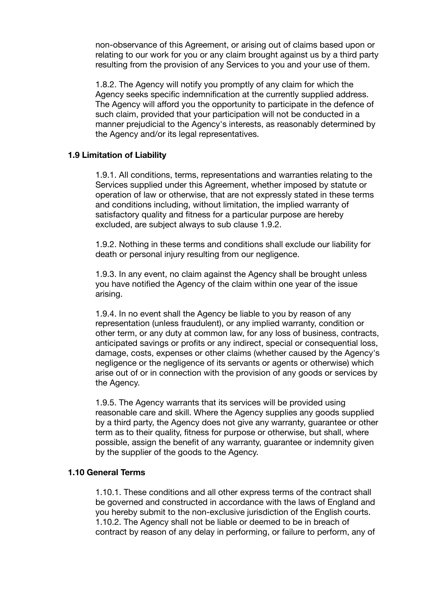non-observance of this Agreement, or arising out of claims based upon or relating to our work for you or any claim brought against us by a third party resulting from the provision of any Services to you and your use of them.

1.8.2. The Agency will notify you promptly of any claim for which the Agency seeks specific indemnification at the currently supplied address. The Agency will afford you the opportunity to participate in the defence of such claim, provided that your participation will not be conducted in a manner prejudicial to the Agency's interests, as reasonably determined by the Agency and/or its legal representatives.

### **1.9 Limitation of Liability**

1.9.1. All conditions, terms, representations and warranties relating to the Services supplied under this Agreement, whether imposed by statute or operation of law or otherwise, that are not expressly stated in these terms and conditions including, without limitation, the implied warranty of satisfactory quality and fitness for a particular purpose are hereby excluded, are subject always to sub clause 1.9.2.

1.9.2. Nothing in these terms and conditions shall exclude our liability for death or personal injury resulting from our negligence.

1.9.3. In any event, no claim against the Agency shall be brought unless you have notified the Agency of the claim within one year of the issue arising.

1.9.4. In no event shall the Agency be liable to you by reason of any representation (unless fraudulent), or any implied warranty, condition or other term, or any duty at common law, for any loss of business, contracts, anticipated savings or profits or any indirect, special or consequential loss, damage, costs, expenses or other claims (whether caused by the Agency's negligence or the negligence of its servants or agents or otherwise) which arise out of or in connection with the provision of any goods or services by the Agency.

1.9.5. The Agency warrants that its services will be provided using reasonable care and skill. Where the Agency supplies any goods supplied by a third party, the Agency does not give any warranty, guarantee or other term as to their quality, fitness for purpose or otherwise, but shall, where possible, assign the benefit of any warranty, guarantee or indemnity given by the supplier of the goods to the Agency.

## **1.10 General Terms**

1.10.1. These conditions and all other express terms of the contract shall be governed and constructed in accordance with the laws of England and you hereby submit to the non-exclusive jurisdiction of the English courts. 1.10.2. The Agency shall not be liable or deemed to be in breach of contract by reason of any delay in performing, or failure to perform, any of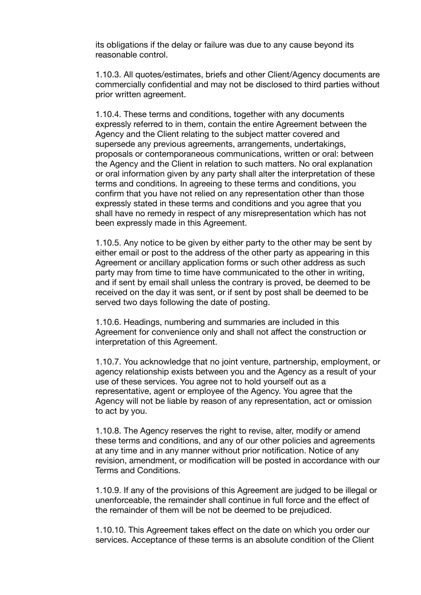its obligations if the delay or failure was due to any cause beyond its reasonable control.

1.10.3. All quotes/estimates, briefs and other Client/Agency documents are commercially confidential and may not be disclosed to third parties without prior written agreement.

1.10.4. These terms and conditions, together with any documents expressly referred to in them, contain the entire Agreement between the Agency and the Client relating to the subject matter covered and supersede any previous agreements, arrangements, undertakings, proposals or contemporaneous communications, written or oral: between the Agency and the Client in relation to such matters. No oral explanation or oral information given by any party shall alter the interpretation of these terms and conditions. In agreeing to these terms and conditions, you confirm that you have not relied on any representation other than those expressly stated in these terms and conditions and you agree that you shall have no remedy in respect of any misrepresentation which has not been expressly made in this Agreement.

1.10.5. Any notice to be given by either party to the other may be sent by either email or post to the address of the other party as appearing in this Agreement or ancillary application forms or such other address as such party may from time to time have communicated to the other in writing, and if sent by email shall unless the contrary is proved, be deemed to be received on the day it was sent, or if sent by post shall be deemed to be served two days following the date of posting.

1.10.6. Headings, numbering and summaries are included in this Agreement for convenience only and shall not affect the construction or interpretation of this Agreement.

1.10.7. You acknowledge that no joint venture, partnership, employment, or agency relationship exists between you and the Agency as a result of your use of these services. You agree not to hold yourself out as a representative, agent or employee of the Agency. You agree that the Agency will not be liable by reason of any representation, act or omission to act by you.

1.10.8. The Agency reserves the right to revise, alter, modify or amend these terms and conditions, and any of our other policies and agreements at any time and in any manner without prior notification. Notice of any revision, amendment, or modification will be posted in accordance with our Terms and Conditions.

1.10.9. If any of the provisions of this Agreement are judged to be illegal or unenforceable, the remainder shall continue in full force and the effect of the remainder of them will be not be deemed to be prejudiced.

1.10.10. This Agreement takes effect on the date on which you order our services. Acceptance of these terms is an absolute condition of the Client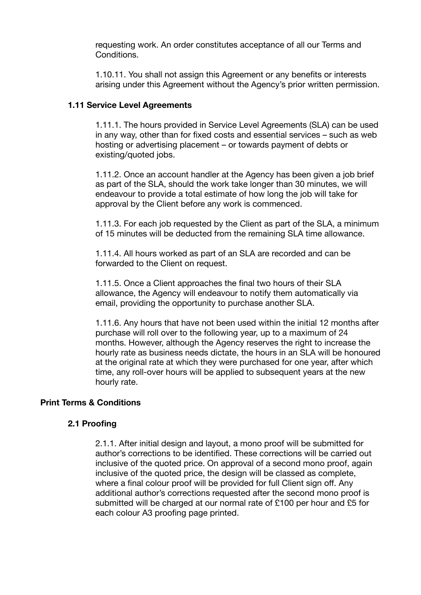requesting work. An order constitutes acceptance of all our Terms and Conditions.

1.10.11. You shall not assign this Agreement or any benefits or interests arising under this Agreement without the Agency's prior written permission.

## **1.11 Service Level Agreements**

1.11.1. The hours provided in Service Level Agreements (SLA) can be used in any way, other than for fixed costs and essential services – such as web hosting or advertising placement – or towards payment of debts or existing/quoted jobs.

1.11.2. Once an account handler at the Agency has been given a job brief as part of the SLA, should the work take longer than 30 minutes, we will endeavour to provide a total estimate of how long the job will take for approval by the Client before any work is commenced.

1.11.3. For each job requested by the Client as part of the SLA, a minimum of 15 minutes will be deducted from the remaining SLA time allowance.

1.11.4. All hours worked as part of an SLA are recorded and can be forwarded to the Client on request.

1.11.5. Once a Client approaches the final two hours of their SLA allowance, the Agency will endeavour to notify them automatically via email, providing the opportunity to purchase another SLA.

1.11.6. Any hours that have not been used within the initial 12 months after purchase will roll over to the following year, up to a maximum of 24 months. However, although the Agency reserves the right to increase the hourly rate as business needs dictate, the hours in an SLA will be honoured at the original rate at which they were purchased for one year, after which time, any roll-over hours will be applied to subsequent years at the new hourly rate.

# **Print Terms & Conditions**

## **2.1 Proofing**

2.1.1. After initial design and layout, a mono proof will be submitted for author's corrections to be identified. These corrections will be carried out inclusive of the quoted price. On approval of a second mono proof, again inclusive of the quoted price, the design will be classed as complete, where a final colour proof will be provided for full Client sign off. Any additional author's corrections requested after the second mono proof is submitted will be charged at our normal rate of £100 per hour and £5 for each colour A3 proofing page printed.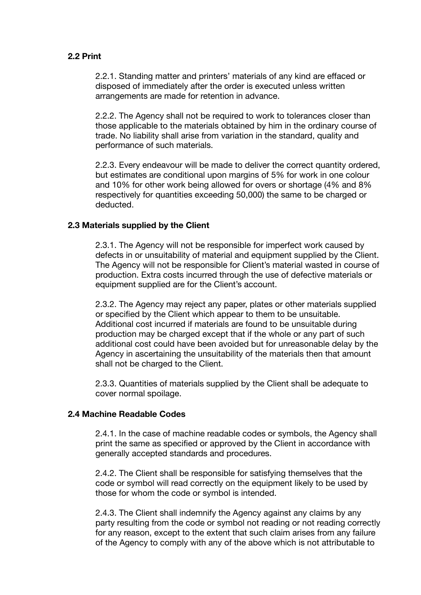## **2.2 Print**

2.2.1. Standing matter and printers' materials of any kind are effaced or disposed of immediately after the order is executed unless written arrangements are made for retention in advance.

2.2.2. The Agency shall not be required to work to tolerances closer than those applicable to the materials obtained by him in the ordinary course of trade. No liability shall arise from variation in the standard, quality and performance of such materials.

2.2.3. Every endeavour will be made to deliver the correct quantity ordered, but estimates are conditional upon margins of 5% for work in one colour and 10% for other work being allowed for overs or shortage (4% and 8% respectively for quantities exceeding 50,000) the same to be charged or deducted.

## **2.3 Materials supplied by the Client**

2.3.1. The Agency will not be responsible for imperfect work caused by defects in or unsuitability of material and equipment supplied by the Client. The Agency will not be responsible for Client's material wasted in course of production. Extra costs incurred through the use of defective materials or equipment supplied are for the Client's account.

2.3.2. The Agency may reject any paper, plates or other materials supplied or specified by the Client which appear to them to be unsuitable. Additional cost incurred if materials are found to be unsuitable during production may be charged except that if the whole or any part of such additional cost could have been avoided but for unreasonable delay by the Agency in ascertaining the unsuitability of the materials then that amount shall not be charged to the Client.

2.3.3. Quantities of materials supplied by the Client shall be adequate to cover normal spoilage.

## **2.4 Machine Readable Codes**

2.4.1. In the case of machine readable codes or symbols, the Agency shall print the same as specified or approved by the Client in accordance with generally accepted standards and procedures.

2.4.2. The Client shall be responsible for satisfying themselves that the code or symbol will read correctly on the equipment likely to be used by those for whom the code or symbol is intended.

2.4.3. The Client shall indemnify the Agency against any claims by any party resulting from the code or symbol not reading or not reading correctly for any reason, except to the extent that such claim arises from any failure of the Agency to comply with any of the above which is not attributable to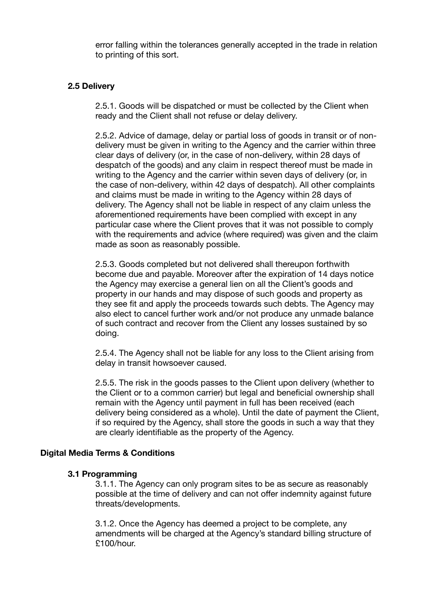error falling within the tolerances generally accepted in the trade in relation to printing of this sort.

## **2.5 Delivery**

2.5.1. Goods will be dispatched or must be collected by the Client when ready and the Client shall not refuse or delay delivery.

2.5.2. Advice of damage, delay or partial loss of goods in transit or of nondelivery must be given in writing to the Agency and the carrier within three clear days of delivery (or, in the case of non-delivery, within 28 days of despatch of the goods) and any claim in respect thereof must be made in writing to the Agency and the carrier within seven days of delivery (or, in the case of non-delivery, within 42 days of despatch). All other complaints and claims must be made in writing to the Agency within 28 days of delivery. The Agency shall not be liable in respect of any claim unless the aforementioned requirements have been complied with except in any particular case where the Client proves that it was not possible to comply with the requirements and advice (where required) was given and the claim made as soon as reasonably possible.

2.5.3. Goods completed but not delivered shall thereupon forthwith become due and payable. Moreover after the expiration of 14 days notice the Agency may exercise a general lien on all the Client's goods and property in our hands and may dispose of such goods and property as they see fit and apply the proceeds towards such debts. The Agency may also elect to cancel further work and/or not produce any unmade balance of such contract and recover from the Client any losses sustained by so doing.

2.5.4. The Agency shall not be liable for any loss to the Client arising from delay in transit howsoever caused.

2.5.5. The risk in the goods passes to the Client upon delivery (whether to the Client or to a common carrier) but legal and beneficial ownership shall remain with the Agency until payment in full has been received (each delivery being considered as a whole). Until the date of payment the Client, if so required by the Agency, shall store the goods in such a way that they are clearly identifiable as the property of the Agency.

## **Digital Media Terms & Conditions**

## **3.1 Programming**

3.1.1. The Agency can only program sites to be as secure as reasonably possible at the time of delivery and can not offer indemnity against future threats/developments.

3.1.2. Once the Agency has deemed a project to be complete, any amendments will be charged at the Agency's standard billing structure of £100/hour.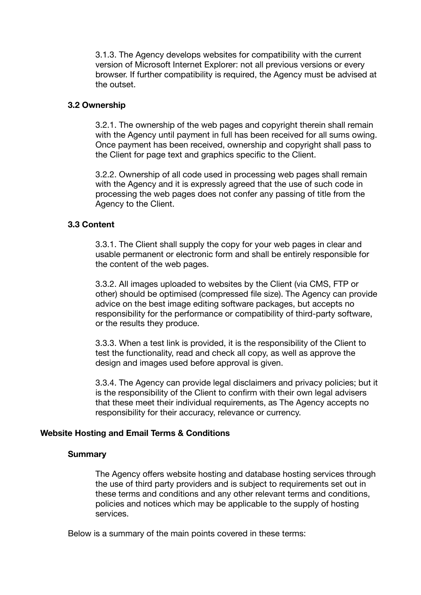3.1.3. The Agency develops websites for compatibility with the current version of Microsoft Internet Explorer: not all previous versions or every browser. If further compatibility is required, the Agency must be advised at the outset.

### **3.2 Ownership**

3.2.1. The ownership of the web pages and copyright therein shall remain with the Agency until payment in full has been received for all sums owing. Once payment has been received, ownership and copyright shall pass to the Client for page text and graphics specific to the Client.

3.2.2. Ownership of all code used in processing web pages shall remain with the Agency and it is expressly agreed that the use of such code in processing the web pages does not confer any passing of title from the Agency to the Client.

### **3.3 Content**

3.3.1. The Client shall supply the copy for your web pages in clear and usable permanent or electronic form and shall be entirely responsible for the content of the web pages.

3.3.2. All images uploaded to websites by the Client (via CMS, FTP or other) should be optimised (compressed file size). The Agency can provide advice on the best image editing software packages, but accepts no responsibility for the performance or compatibility of third-party software, or the results they produce.

3.3.3. When a test link is provided, it is the responsibility of the Client to test the functionality, read and check all copy, as well as approve the design and images used before approval is given.

3.3.4. The Agency can provide legal disclaimers and privacy policies; but it is the responsibility of the Client to confirm with their own legal advisers that these meet their individual requirements, as The Agency accepts no responsibility for their accuracy, relevance or currency.

## **Website Hosting and Email Terms & Conditions**

#### **Summary**

The Agency offers website hosting and database hosting services through the use of third party providers and is subject to requirements set out in these terms and conditions and any other relevant terms and conditions, policies and notices which may be applicable to the supply of hosting services.

Below is a summary of the main points covered in these terms: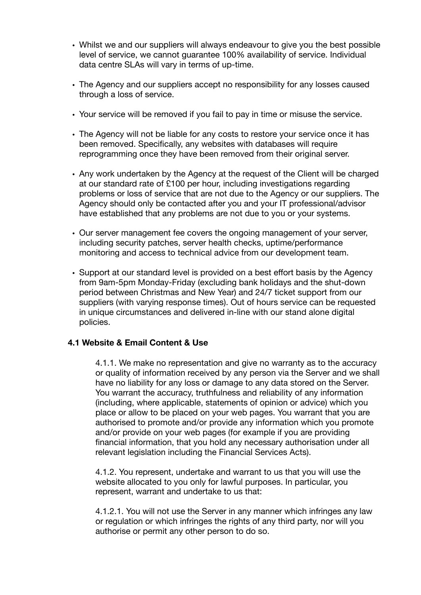- Whilst we and our suppliers will always endeavour to give you the best possible level of service, we cannot guarantee 100% availability of service. Individual data centre SLAs will vary in terms of up-time.
- The Agency and our suppliers accept no responsibility for any losses caused through a loss of service.
- Your service will be removed if you fail to pay in time or misuse the service.
- The Agency will not be liable for any costs to restore your service once it has been removed. Specifically, any websites with databases will require reprogramming once they have been removed from their original server.
- Any work undertaken by the Agency at the request of the Client will be charged at our standard rate of £100 per hour, including investigations regarding problems or loss of service that are not due to the Agency or our suppliers. The Agency should only be contacted after you and your IT professional/advisor have established that any problems are not due to you or your systems.
- Our server management fee covers the ongoing management of your server, including security patches, server health checks, uptime/performance monitoring and access to technical advice from our development team.
- Support at our standard level is provided on a best effort basis by the Agency from 9am-5pm Monday-Friday (excluding bank holidays and the shut-down period between Christmas and New Year) and 24/7 ticket support from our suppliers (with varying response times). Out of hours service can be requested in unique circumstances and delivered in-line with our stand alone digital policies.

## **4.1 Website & Email Content & Use**

4.1.1. We make no representation and give no warranty as to the accuracy or quality of information received by any person via the Server and we shall have no liability for any loss or damage to any data stored on the Server. You warrant the accuracy, truthfulness and reliability of any information (including, where applicable, statements of opinion or advice) which you place or allow to be placed on your web pages. You warrant that you are authorised to promote and/or provide any information which you promote and/or provide on your web pages (for example if you are providing financial information, that you hold any necessary authorisation under all relevant legislation including the Financial Services Acts).

4.1.2. You represent, undertake and warrant to us that you will use the website allocated to you only for lawful purposes. In particular, you represent, warrant and undertake to us that:

4.1.2.1. You will not use the Server in any manner which infringes any law or regulation or which infringes the rights of any third party, nor will you authorise or permit any other person to do so.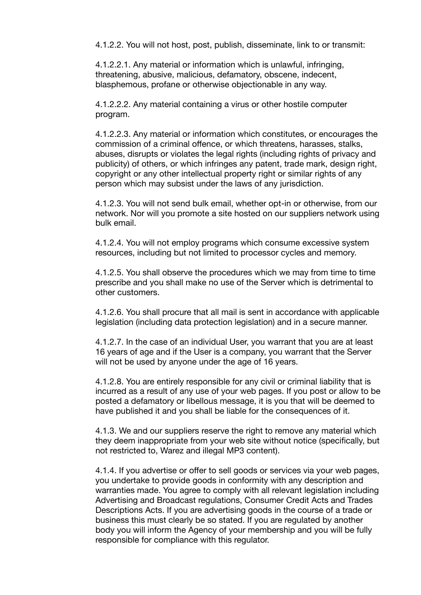4.1.2.2. You will not host, post, publish, disseminate, link to or transmit:

4.1.2.2.1. Any material or information which is unlawful, infringing, threatening, abusive, malicious, defamatory, obscene, indecent, blasphemous, profane or otherwise objectionable in any way.

4.1.2.2.2. Any material containing a virus or other hostile computer program.

4.1.2.2.3. Any material or information which constitutes, or encourages the commission of a criminal offence, or which threatens, harasses, stalks, abuses, disrupts or violates the legal rights (including rights of privacy and publicity) of others, or which infringes any patent, trade mark, design right, copyright or any other intellectual property right or similar rights of any person which may subsist under the laws of any jurisdiction.

4.1.2.3. You will not send bulk email, whether opt-in or otherwise, from our network. Nor will you promote a site hosted on our suppliers network using bulk email.

4.1.2.4. You will not employ programs which consume excessive system resources, including but not limited to processor cycles and memory.

4.1.2.5. You shall observe the procedures which we may from time to time prescribe and you shall make no use of the Server which is detrimental to other customers.

4.1.2.6. You shall procure that all mail is sent in accordance with applicable legislation (including data protection legislation) and in a secure manner.

4.1.2.7. In the case of an individual User, you warrant that you are at least 16 years of age and if the User is a company, you warrant that the Server will not be used by anyone under the age of 16 years.

4.1.2.8. You are entirely responsible for any civil or criminal liability that is incurred as a result of any use of your web pages. If you post or allow to be posted a defamatory or libellous message, it is you that will be deemed to have published it and you shall be liable for the consequences of it.

4.1.3. We and our suppliers reserve the right to remove any material which they deem inappropriate from your web site without notice (specifically, but not restricted to, Warez and illegal MP3 content).

4.1.4. If you advertise or offer to sell goods or services via your web pages, you undertake to provide goods in conformity with any description and warranties made. You agree to comply with all relevant legislation including Advertising and Broadcast regulations, Consumer Credit Acts and Trades Descriptions Acts. If you are advertising goods in the course of a trade or business this must clearly be so stated. If you are regulated by another body you will inform the Agency of your membership and you will be fully responsible for compliance with this regulator.